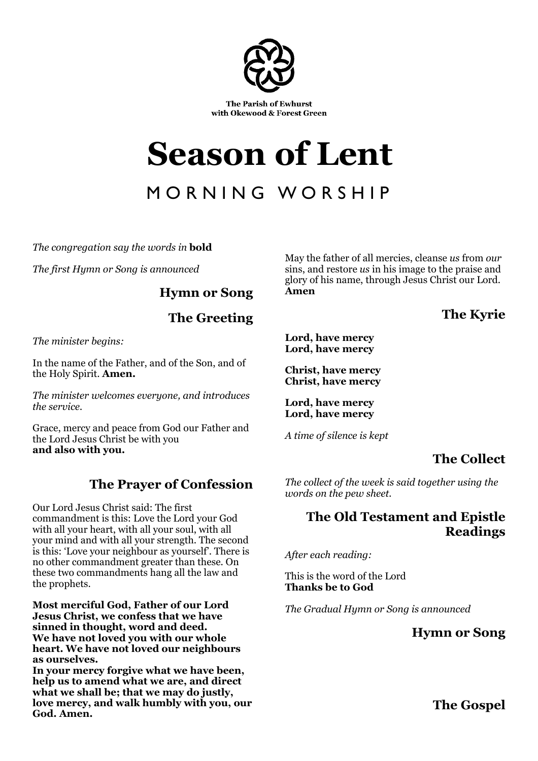

# **Season of Lent**

## MORNING WORSHIP

*The congregation say the words in* **bold**

*The first Hymn or Song is announced* 

**Hymn or Song** 

**The Greeting** 

*The minister begins:* 

In the name of the Father, and of the Son, and of the Holy Spirit. **Amen.**

*The minister welcomes everyone, and introduces the service.* 

Grace, mercy and peace from God our Father and the Lord Jesus Christ be with you **and also with you.** 

#### **The Prayer of Confession**

Our Lord Jesus Christ said: The first commandment is this: Love the Lord your God with all your heart, with all your soul, with all your mind and with all your strength. The second is this: 'Love your neighbour as yourself'. There is no other commandment greater than these. On these two commandments hang all the law and the prophets.

**Most merciful God, Father of our Lord Jesus Christ, we confess that we have sinned in thought, word and deed. We have not loved you with our whole heart. We have not loved our neighbours as ourselves.** 

**In your mercy forgive what we have been, help us to amend what we are, and direct what we shall be; that we may do justly, love mercy, and walk humbly with you, our God. Amen.** 

May the father of all mercies, cleanse *us* from *our* sins, and restore *us* in his image to the praise and glory of his name, through Jesus Christ our Lord. **Amen**

**The Kyrie** 

**Lord, have mercy Lord, have mercy** 

**Christ, have mercy Christ, have mercy** 

**Lord, have mercy Lord, have mercy** 

*A time of silence is kept* 

### **The Collect**

*The collect of the week is said together using the words on the pew sheet.* 

#### **The Old Testament and Epistle Readings**

*After each reading:* 

This is the word of the Lord **Thanks be to God** 

*The Gradual Hymn or Song is announced* 

**Hymn or Song** 

**The Gospel**